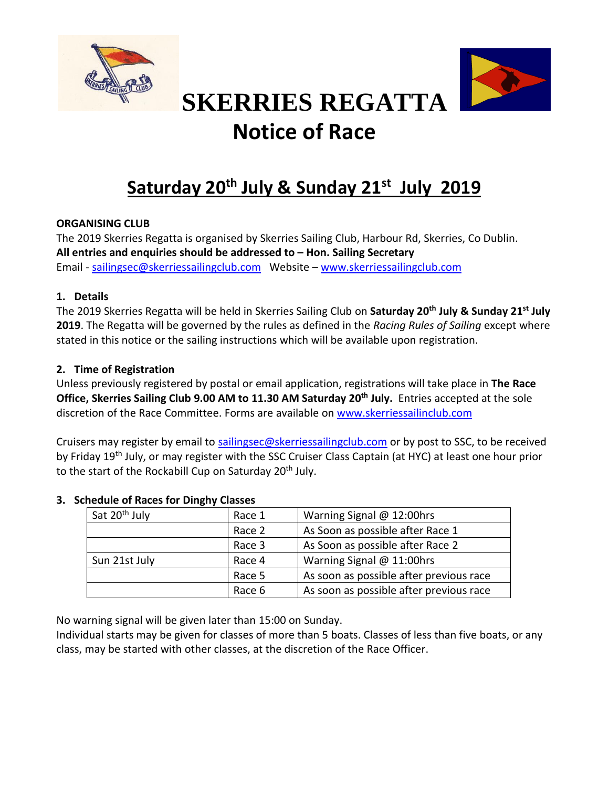



# **SKERRIES REGATTA Notice of Race**

## **Saturday 20<sup>th</sup> July & Sunday 21st July 2019**

#### **ORGANISING CLUB**

The 2019 Skerries Regatta is organised by Skerries Sailing Club, Harbour Rd, Skerries, Co Dublin. **All entries and enquiries should be addressed to – Hon. Sailing Secretary** Email - [sailingsec@skerriessailingclub.com](mailto:sailingsec@skerriessailingclub.com) Website – [www.skerriessailingclub.com](http://www.skerriessailingclub.com/)

#### **1. Details**

The 2019 Skerries Regatta will be held in Skerries Sailing Club on **Saturday 20 th July & Sunday 21 st July 2019**. The Regatta will be governed by the rules as defined in the *Racing Rules of Sailing* except where stated in this notice or the sailing instructions which will be available upon registration.

#### **2. Time of Registration**

Unless previously registered by postal or email application, registrations will take place in **The Race Office, Skerries Sailing Club 9.00 AM to 11.30 AM Saturday 20 th July.** Entries accepted at the sole discretion of the Race Committee. Forms are available on [www.skerriessailinclub.com](http://www.skerriessailinclub.com/)

Cruisers may register by email to [sailingsec@skerriessailingclub.com](mailto:sailingsec@skerriessailingclub.com) or by post to SSC, to be received by Friday 19<sup>th</sup> July, or may register with the SSC Cruiser Class Captain (at HYC) at least one hour prior to the start of the Rockabill Cup on Saturday 20<sup>th</sup> July.

| Sat 20 <sup>th</sup> July | Race 1 | Warning Signal @ 12:00hrs               |  |
|---------------------------|--------|-----------------------------------------|--|
|                           | Race 2 | As Soon as possible after Race 1        |  |
|                           | Race 3 | As Soon as possible after Race 2        |  |
| Sun 21st July             | Race 4 | Warning Signal $@$ 11:00hrs             |  |
|                           | Race 5 | As soon as possible after previous race |  |
|                           | Race 6 | As soon as possible after previous race |  |

#### **3. Schedule of Races for Dinghy Classes**

No warning signal will be given later than 15:00 on Sunday.

Individual starts may be given for classes of more than 5 boats. Classes of less than five boats, or any class, may be started with other classes, at the discretion of the Race Officer.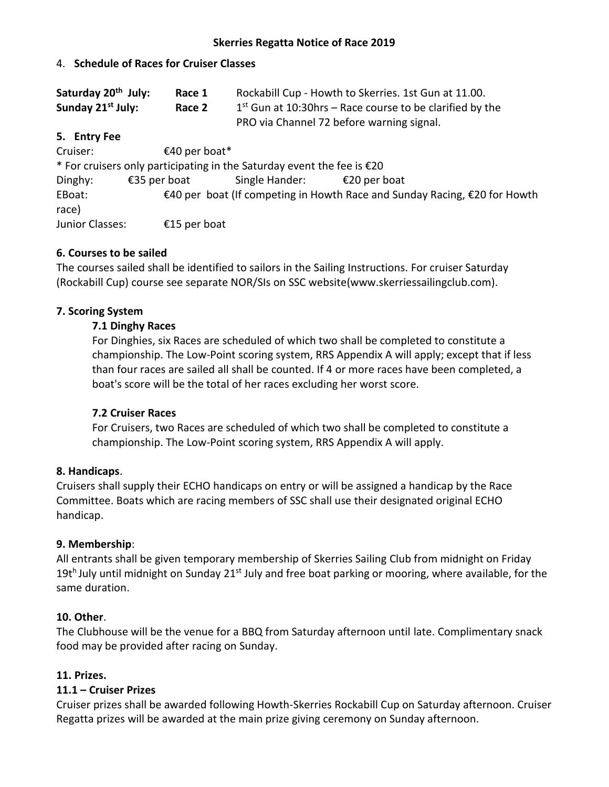#### 4. **Schedule of Races for Cruiser Classes**

| Saturday 20 <sup>th</sup> July: | Race 1 | Rockabill Cup - Howth to Skerries. 1st Gun at 11.00.       |
|---------------------------------|--------|------------------------------------------------------------|
| Sunday 21 <sup>st</sup> July:   | Race 2 | $1st$ Gun at 10:30hrs – Race course to be clarified by the |
|                                 |        | PRO via Channel 72 before warning signal.                  |

#### **5. Entry Fee**

Cruiser: €40 per boat\* \* For cruisers only participating in the Saturday event the fee is €20 Dinghy: €35 per boat Single Hander: €20 per boat EBoat: €40 per boat (If competing in Howth Race and Sunday Racing, €20 for Howth race) Junior Classes: €15 per boat

#### **6. Courses to be sailed**

The courses sailed shall be identified to sailors in the Sailing Instructions. For cruiser Saturday (Rockabill Cup) course see separate NOR/SIs on SSC website(www.skerriessailingclub.com).

#### **7. Scoring System**

#### **7.1 Dinghy Races**

For Dinghies, six Races are scheduled of which two shall be completed to constitute a championship. The Low-Point scoring system, RRS Appendix A will apply; except that if less than four races are sailed all shall be counted. If 4 or more races have been completed, a boat's score will be the total of her races excluding her worst score.

#### **7.2 Cruiser Races**

For Cruisers, two Races are scheduled of which two shall be completed to constitute a championship. The Low-Point scoring system, RRS Appendix A will apply.

#### **8. Handicaps**.

Cruisers shall supply their ECHO handicaps on entry or will be assigned a handicap by the Race Committee. Boats which are racing members of SSC shall use their designated original ECHO handicap.

#### **9. Membership**:

All entrants shall be given temporary membership of Skerries Sailing Club from midnight on Friday 19t<sup>h</sup> July until midnight on Sunday 21<sup>st</sup> July and free boat parking or mooring, where available, for the same duration.

#### **10. Other**.

The Clubhouse will be the venue for a BBQ from Saturday afternoon until late. Complimentary snack food may be provided after racing on Sunday.

#### **11. Prizes.**

#### **11.1 – Cruiser Prizes**

Cruiser prizes shall be awarded following Howth-Skerries Rockabill Cup on Saturday afternoon. Cruiser Regatta prizes will be awarded at the main prize giving ceremony on Sunday afternoon.